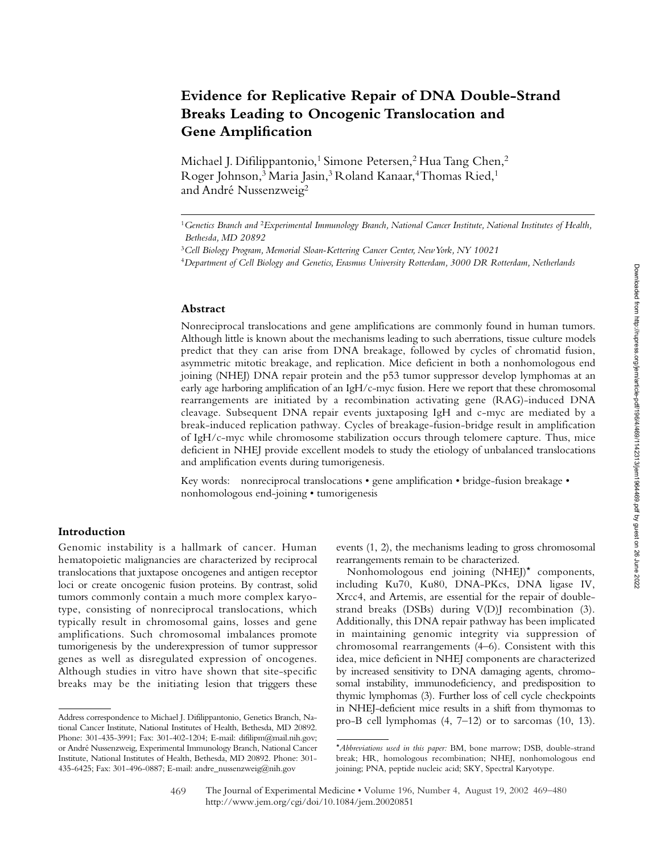# **Evidence for Replicative Repair of DNA Double-Strand Breaks Leading to Oncogenic Translocation and Gene Amplification**

Michael J. Difilippantonio,<sup>1</sup> Simone Petersen,<sup>2</sup> Hua Tang Chen,<sup>2</sup> Roger Johnson,<sup>3</sup> Maria Jasin,<sup>3</sup> Roland Kanaar,<sup>4</sup> Thomas Ried,<sup>1</sup> and André Nussenzweig<sup>2</sup>

#### **Abstract**

Nonreciprocal translocations and gene amplifications are commonly found in human tumors. Although little is known about the mechanisms leading to such aberrations, tissue culture models predict that they can arise from DNA breakage, followed by cycles of chromatid fusion, asymmetric mitotic breakage, and replication. Mice deficient in both a nonhomologous end joining (NHEJ) DNA repair protein and the p53 tumor suppressor develop lymphomas at an early age harboring amplification of an IgH/c-myc fusion. Here we report that these chromosomal rearrangements are initiated by a recombination activating gene (RAG)-induced DNA cleavage. Subsequent DNA repair events juxtaposing IgH and c-myc are mediated by a break-induced replication pathway. Cycles of breakage-fusion-bridge result in amplification of IgH/c-myc while chromosome stabilization occurs through telomere capture. Thus, mice deficient in NHEJ provide excellent models to study the etiology of unbalanced translocations and amplification events during tumorigenesis.

Key words: nonreciprocal translocations • gene amplification • bridge-fusion breakage • nonhomologous end-joining • tumorigenesis

## **Introduction**

Genomic instability is a hallmark of cancer. Human hematopoietic malignancies are characterized by reciprocal translocations that juxtapose oncogenes and antigen receptor loci or create oncogenic fusion proteins. By contrast, solid tumors commonly contain a much more complex karyotype, consisting of nonreciprocal translocations, which typically result in chromosomal gains, losses and gene amplifications. Such chromosomal imbalances promote tumorigenesis by the underexpression of tumor suppressor genes as well as disregulated expression of oncogenes. Although studies in vitro have shown that site-specific breaks may be the initiating lesion that triggers these

events (1, 2), the mechanisms leading to gross chromosomal rearrangements remain to be characterized.

Nonhomologous end joining (NHEJ)\* components, including Ku70, Ku80, DNA-PKcs, DNA ligase IV, Xrcc4, and Artemis, are essential for the repair of doublestrand breaks (DSBs) during V(D)J recombination (3). Additionally, this DNA repair pathway has been implicated in maintaining genomic integrity via suppression of chromosomal rearrangements (4–6). Consistent with this idea, mice deficient in NHEJ components are characterized by increased sensitivity to DNA damaging agents, chromosomal instability, immunodeficiency, and predisposition to thymic lymphomas (3). Further loss of cell cycle checkpoints in NHEJ-deficient mice results in a shift from thymomas to Address correspondence to Michael J. Difilippantonio, Genetics Branch, Na-<br>pro-B cell lymphomas (4, 7–12) or to sarcomas (10, 13).

<sup>1</sup>*Genetics Branch and* <sup>2</sup>*Experimental Immunology Branch, National Cancer Institute, National Institutes of Health, Bethesda, MD 20892*

<sup>3</sup>*Cell Biology Program, Memorial Sloan-Kettering Cancer Center, New York, NY 10021*

<sup>4</sup>*Department of Cell Biology and Genetics, Erasmus University Rotterdam, 3000 DR Rotterdam, Netherlands*

tional Cancer Institute, National Institutes of Health, Bethesda, MD 20892. Phone: 301-435-3991; Fax: 301-402-1204; E-mail: difilipm@mail.nih.gov; or André Nussenzweig, Experimental Immunology Branch, National Cancer Institute, National Institutes of Health, Bethesda, MD 20892. Phone: 301- 435-6425; Fax: 301-496-0887; E-mail: andre\_nussenzweig@nih.gov

<sup>\*</sup>*Abbreviations used in this paper:* BM, bone marrow; DSB, double-strand break; HR, homologous recombination; NHEJ, nonhomologous end joining; PNA, peptide nucleic acid; SKY, Spectral Karyotype.

The Journal of Experimental Medicine • Volume 196, Number 4, August 19, 2002 469–480 http://www.jem.org/cgi/doi/10.1084/jem.20020851 469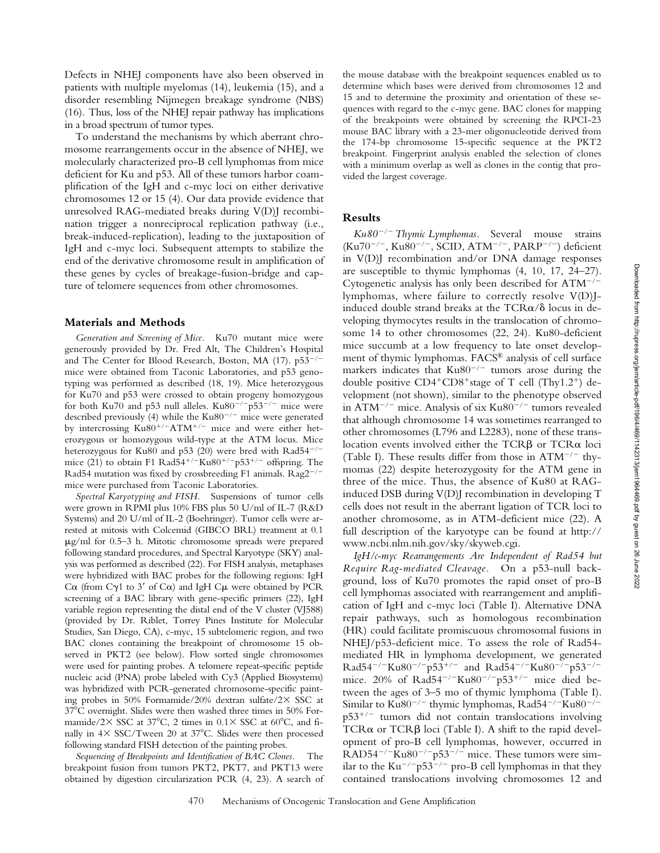Defects in NHEJ components have also been observed in patients with multiple myelomas (14), leukemia (15), and a disorder resembling Nijmegen breakage syndrome (NBS) (16). Thus, loss of the NHEJ repair pathway has implications in a broad spectrum of tumor types.

To understand the mechanisms by which aberrant chromosome rearrangements occur in the absence of NHEJ, we molecularly characterized pro-B cell lymphomas from mice deficient for Ku and p53. All of these tumors harbor coamplification of the IgH and c-myc loci on either derivative chromosomes 12 or 15 (4). Our data provide evidence that unresolved RAG-mediated breaks during V(D)J recombination trigger a nonreciprocal replication pathway (i.e., break-induced-replication), leading to the juxtaposition of IgH and c-myc loci. Subsequent attempts to stabilize the end of the derivative chromosome result in amplification of these genes by cycles of breakage-fusion-bridge and capture of telomere sequences from other chromosomes.

#### **Materials and Methods**

*Generation and Screening of Mice.* Ku70 mutant mice were generously provided by Dr. Fred Alt, The Children's Hospital and The Center for Blood Research, Boston, MA (17). p53<sup>-/-</sup> mice were obtained from Taconic Laboratories, and p53 genotyping was performed as described (18, 19). Mice heterozygous for Ku70 and p53 were crossed to obtain progeny homozygous for both Ku70 and p53 null alleles.  $Ku80^{-/-}p53^{-/-}$  mice were described previously (4) while the Ku80<sup>-/-</sup> mice were generated by intercrossing Ku80<sup>+/-</sup>ATM<sup>+/-</sup> mice and were either heterozygous or homozygous wild-type at the ATM locus. Mice heterozygous for Ku80 and p53 (20) were bred with Rad54<sup>-/-</sup> mice (21) to obtain F1 Rad54<sup>+/-</sup>Ku80<sup>+/-</sup>p53<sup>+/-</sup> offspring. The Rad54 mutation was fixed by crossbreeding F1 animals.  $\rm Rag2^{-/-}$ mice were purchased from Taconic Laboratories.

*Spectral Karyotyping and FISH.* Suspensions of tumor cells were grown in RPMI plus 10% FBS plus 50 U/ml of IL-7 (R&D Systems) and 20 U/ml of IL-2 (Boehringer). Tumor cells were arrested at mitosis with Colcemid (GIBCO BRL) treatment at 0.1  $\mu$ g/ml for 0.5–3 h. Mitotic chromosome spreads were prepared following standard procedures, and Spectral Karyotype (SKY) analysis was performed as described (22). For FISH analysis, metaphases were hybridized with BAC probes for the following regions: IgH C $\alpha$  (from C $\gamma$ 1 to 3' of C $\alpha$ ) and IgH C $\mu$  were obtained by PCR screening of a BAC library with gene-specific primers (22), IgH variable region representing the distal end of the V cluster (VJ588) (provided by Dr. Riblet, Torrey Pines Institute for Molecular Studies, San Diego, CA), c-myc, 15 subtelomeric region, and two BAC clones containing the breakpoint of chromosome 15 observed in PKT2 (see below). Flow sorted single chromosomes were used for painting probes. A telomere repeat-specific peptide nucleic acid (PNA) probe labeled with Cy3 (Applied Biosystems) was hybridized with PCR-generated chromosome-specific painting probes in 50% Formamide/20% dextran sulfate/2 $\times$  SSC at 37 C overnight. Slides were then washed three times in 50% Formamide/2 $\times$  SSC at 37°C, 2 times in 0.1 $\times$  SSC at 60°C, and finally in  $4 \times$  SSC/Tween 20 at 37°C. Slides were then processed following standard FISH detection of the painting probes.

*Sequencing of Breakpoints and Identification of BAC Clones.* The breakpoint fusion from tumors PKT2, PKT7, and PKT13 were obtained by digestion circularization PCR (4, 23). A search of the mouse database with the breakpoint sequences enabled us to determine which bases were derived from chromosomes 12 and 15 and to determine the proximity and orientation of these sequences with regard to the c-myc gene. BAC clones for mapping of the breakpoints were obtained by screening the RPCI-23 mouse BAC library with a 23-mer oligonucleotide derived from the 174-bp chromosome 15-specific sequence at the PKT2 breakpoint. Fingerprint analysis enabled the selection of clones with a minimum overlap as well as clones in the contig that provided the largest coverage.

#### **Results**

*Ku80*-*/*- *Thymic Lymphomas.* Several mouse strains (Ku70<sup>-/-</sup>, Ku80<sup>-/-</sup>, SCID, ATM<sup>-/-</sup>, PARP<sup>-/-</sup>) deficient in V(D)J recombination and/or DNA damage responses are susceptible to thymic lymphomas (4, 10, 17, 24–27). Cytogenetic analysis has only been described for  $ATM^{-/-}$ lymphomas, where failure to correctly resolve V(D)Jinduced double strand breaks at the  $TCR\alpha/\delta$  locus in developing thymocytes results in the translocation of chromosome 14 to other chromosomes (22, 24). Ku80-deficient mice succumb at a low frequency to late onset development of thymic lymphomas. FACS® analysis of cell surface markers indicates that  $Ku80^{-/-}$  tumors arose during the double positive  $CD4+CD8+$  stage of T cell (Thy1.2<sup>+</sup>) development (not shown), similar to the phenotype observed in ATM<sup>-/-</sup> mice. Analysis of six Ku80<sup>-/-</sup> tumors revealed that although chromosome 14 was sometimes rearranged to other chromosomes (L796 and L2283), none of these translocation events involved either the TCR $\beta$  or TCR $\alpha$  loci (Table I). These results differ from those in  $ATM^{-/-}$  thymomas (22) despite heterozygosity for the ATM gene in three of the mice. Thus, the absence of Ku80 at RAGinduced DSB during V(D)J recombination in developing T cells does not result in the aberrant ligation of TCR loci to another chromosome, as in ATM-deficient mice (22). A full description of the karyotype can be found at http:// www.ncbi.nlm.nih.gov/sky/skyweb.cgi.

*IgH/c-myc Rearrangements Are Independent of Rad54 but Require Rag-mediated Cleavage.* On a p53-null background, loss of Ku70 promotes the rapid onset of pro-B cell lymphomas associated with rearrangement and amplification of IgH and c-myc loci (Table I). Alternative DNA repair pathways, such as homologous recombination (HR) could facilitate promiscuous chromosomal fusions in NHEJ/p53-deficient mice. To assess the role of Rad54 mediated HR in lymphoma development, we generated Rad54<sup>-/-</sup>Ku80<sup>-/-</sup>p53<sup>+/-</sup> and Rad54<sup>-/-</sup>Ku80<sup>-/-</sup>p53<sup>-/-</sup> mice. 20% of Rad54<sup>-/-</sup>Ku80<sup>-/-</sup>p53<sup>+/-</sup> mice died between the ages of 3–5 mo of thymic lymphoma (Table I). Similar to Ku80<sup>-/-</sup> thymic lymphomas, Rad54<sup>-/-</sup>Ku80<sup>-/-</sup>  $p53^{+/-}$  tumors did not contain translocations involving  $TCR\alpha$  or  $TCR\beta$  loci (Table I). A shift to the rapid development of pro-B cell lymphomas, however, occurred in  $RAD54^{-/-}Ku80^{-/-}p53^{-/-}$  mice. These tumors were similar to the  $Ku^{-/-}p53^{-/-}$  pro-B cell lymphomas in that they contained translocations involving chromosomes 12 and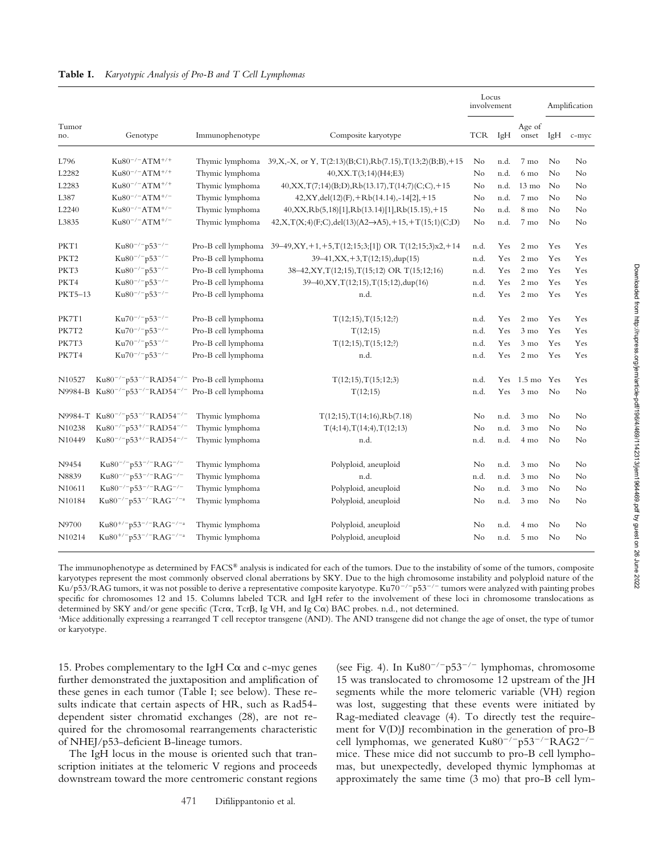| Tumor<br>no.     | Genotype                                                                        | Immunophenotype     | Composite karyotype                                                      | Locus<br>involvement |      |                  | Amplification |       |
|------------------|---------------------------------------------------------------------------------|---------------------|--------------------------------------------------------------------------|----------------------|------|------------------|---------------|-------|
|                  |                                                                                 |                     |                                                                          | TCR                  | IgH  | Age of<br>onset  | IgH           | c-myc |
| L796             | $Ku80^{-/-}ATM^{+/+}$                                                           | Thymic lymphoma     | $39, X, -X,$ or Y, T $(2:13)(B;C1), Rb(7.15), T(13;2)(B;B)$ , +15        | No                   | n.d. | 7 mo             | No            | No    |
| L2282            | $Ku80^{-/-}ATM^{+/+}$                                                           | Thymic lymphoma     | 40, XX. T(3;14)(H4; E3)                                                  | No                   | n.d. | $6 \text{ mo}$   | No            | No    |
| L2283            | $Ku80^{-/-}ATM^{+/+}$                                                           | Thymic lymphoma     | $40, XX, T(7;14)(B;D), Rb(13.17), T(14;7)(C;C), +15$                     | No                   | n.d. | $13 \text{ mo}$  | No            | No    |
| L387             | $Ku80^{-/-}ATM^{+/-}$                                                           | Thymic lymphoma     | $42, XY, del(12)(F)$ , +Rb(14.14), -14[2], +15                           | No                   | n.d. | 7 mo             | No            | No    |
| L2240            | $Ku80^{-/-}ATM^{+/-}$                                                           | Thymic lymphoma     | $40, XX, Rb(5,18)[1], Rb(13.14)[1], Rb(15.15), +15$                      | No                   | n.d. | 8 <sub>mo</sub>  | No            | No    |
| L3835            | $Ku80^{-/-}ATM^{+/-}$                                                           | Thymic lymphoma     | $42, X, T(X; 4)(F; C), del(13)(A2 \rightarrow A5), +15, +T(15; 1)(C; D)$ | No                   | n.d. | 7 mo             | No            | No    |
| PKT1             | $Ku80^{-/-}p53^{-/-}$                                                           | Pro-B cell lymphoma | $39-49, XY, +1, +5, T(12; 15; 3; 11) \text{ OR } T(12; 15; 3)x2, +14$    | n.d.                 | Yes  | $2 \text{ mo}$   | Yes           | Yes   |
| PKT <sub>2</sub> | Ku80 <sup>-/-</sup> p53 <sup>-/-</sup>                                          | Pro-B cell lymphoma | $39-41, XX, +3, T(12;15), \text{dup}(15)$                                | n.d.                 | Yes  | $2 \text{ mo}$   | Yes           | Yes   |
| PKT3             | Ku80 <sup>-/-</sup> p53 <sup>-/-</sup>                                          | Pro-B cell lymphoma | 38-42, XY, T(12; 15), T(15; 12) OR T(15; 12; 16)                         | n.d.                 | Yes  | $2 \text{ mo}$   | Yes           | Yes   |
| PKT4             | $Ku80^{-/-}p53^{-/-}$                                                           | Pro-B cell lymphoma | 39-40, XY, T(12;15), T(15;12), dup(16)                                   | n.d.                 | Yes  | $2 \text{ mo}$   | Yes           | Yes   |
| PKT5-13          | $Ku80^{-/-}p53^{-/-}$                                                           | Pro-B cell lymphoma | n.d.                                                                     | n.d.                 | Yes  | $2 \text{ mo}$   | Yes           | Yes   |
| PK7T1            | Ku70 <sup>-/-</sup> p53 <sup>-/-</sup>                                          | Pro-B cell lymphoma | T(12;15), T(15;12;?)                                                     | n.d.                 | Yes  | $2 \text{ mo}$   | Yes           | Yes   |
| PK7T2            | $Ku70^{-/-}p53^{-/-}$                                                           | Pro-B cell lymphoma | T(12;15)                                                                 | n.d.                 | Yes  | $3 \text{ mo}$   | Yes           | Yes   |
| PK7T3            | $Ku70^{-/-}p53^{-/-}$                                                           | Pro-B cell lymphoma | T(12;15), T(15;12;?)                                                     | n.d.                 | Yes  | $3 \text{ mo}$   | Yes           | Yes   |
| PK7T4            | $Ku70^{-/-}p53^{-/-}$                                                           | Pro-B cell lymphoma | n.d.                                                                     | n.d.                 | Yes  | $2 \text{ mo}$   | Yes           | Yes   |
| N10527           | Ku80 <sup>-/-</sup> p53 <sup>-/-</sup> RAD54 <sup>-/-</sup> Pro-B cell lymphoma |                     | T(12;15), T(15;12;3)                                                     | n.d.                 | Yes  | $1.5 \text{ mo}$ | Yes           | Yes   |
| N9984-B          | Ku80 <sup>-/-</sup> p53 <sup>-/-</sup> RAD54 <sup>-/-</sup> Pro-B cell lymphoma |                     | T(12;15)                                                                 | n.d.                 | Yes  | $3 \text{ mo}$   | No            | No    |
|                  | N9984-T Ku80 <sup>-/-</sup> p53 <sup>-/-</sup> RAD54 <sup>-/-</sup>             | Thymic lymphoma     | $T(12;15)$ , $T(14;16)$ , $Rb(7.18)$                                     | No                   | n.d. | $3 \text{ mo}$   | No            | No    |
| N10238           | Ku80 <sup>-/-</sup> p53 <sup>+/-</sup> RAD54 <sup>-/-</sup>                     | Thymic lymphoma     | $T(4;14)$ , $T(14;4)$ , $T(12;13)$                                       | No                   | n.d. | $3 \text{ mo}$   | No            | No    |
| N10449           | Ku80 <sup>-/-</sup> p53 <sup>+/-</sup> RAD54 <sup>-/-</sup>                     | Thymic lymphoma     | n.d.                                                                     | n.d.                 | n.d. | 4 mo             | No            | No    |
| N9454            | Ku80 <sup>-/-</sup> p53 <sup>-/-</sup> RAG <sup>-/-</sup>                       | Thymic lymphoma     | Polyploid, aneuploid                                                     | No                   | n.d. | $3 \text{ mo}$   | No            | No    |
| N8839            | Ku80 <sup>-/-</sup> p53 <sup>-/-</sup> RAG <sup>-/-</sup>                       | Thymic lymphoma     | n.d.                                                                     | n.d.                 | n.d. | $3 \text{ mo}$   | No            | No    |
| N10611           | $Ku80^{-/-}p53^{-/-}RAG^{-/-}$                                                  | Thymic lymphoma     | Polyploid, aneuploid                                                     | No                   | n.d. | $3 \text{ mo}$   | No            | No    |
| N10184           | Ku80 <sup>-/-</sup> p53 <sup>-/-</sup> RAG <sup>-/-a</sup>                      | Thymic lymphoma     | Polyploid, aneuploid                                                     | N <sub>0</sub>       | n.d. | $3 \text{ mo}$   | No            | No    |
| N9700            | Ku80 <sup>+/-</sup> p53 <sup>-/-</sup> RAG <sup>-/-a</sup>                      | Thymic lymphoma     | Polyploid, aneuploid                                                     | No                   | n.d. | $4 \text{ mo}$   | No            | No    |
| N10214           | Ku80 <sup>+/-</sup> p53 <sup>-/-</sup> RAG <sup>-/-a</sup>                      | Thymic lymphoma     | Polyploid, aneuploid                                                     | No                   | n.d. | $5 \text{ mo}$   | No            | No    |

The immunophenotype as determined by FACS® analysis is indicated for each of the tumors. Due to the instability of some of the tumors, composite karyotypes represent the most commonly observed clonal aberrations by SKY. Due to the high chromosome instability and polyploid nature of the Ku/p53/RAG tumors, it was not possible to derive a representative composite karyotype. Ku70<sup>-/-</sup>p53<sup>-/-</sup> tumors were analyzed with painting probes specific for chromosomes 12 and 15. Columns labeled TCR and IgH refer to the involvement of these loci in chromosome translocations as determined by SKY and/or gene specific (Tcr $\alpha$ , Tcr $\beta$ , Ig VH, and Ig C $\alpha$ ) BAC probes. n.d., not determined.

a Mice additionally expressing a rearranged T cell receptor transgene (AND). The AND transgene did not change the age of onset, the type of tumor or karyotype.

15. Probes complementary to the IgH  $C\alpha$  and c-myc genes further demonstrated the juxtaposition and amplification of these genes in each tumor (Table I; see below). These results indicate that certain aspects of HR, such as Rad54 dependent sister chromatid exchanges (28), are not required for the chromosomal rearrangements characteristic of NHEJ/p53-deficient B-lineage tumors.

The IgH locus in the mouse is oriented such that transcription initiates at the telomeric V regions and proceeds downstream toward the more centromeric constant regions

(see Fig. 4). In  $Ku80^{-/-}p53^{-/-}$  lymphomas, chromosome 15 was translocated to chromosome 12 upstream of the JH segments while the more telomeric variable (VH) region was lost, suggesting that these events were initiated by Rag-mediated cleavage (4). To directly test the requirement for V(D)J recombination in the generation of pro-B cell lymphomas, we generated  $Ku80^{-/-}p53^{-/-}RAG2^{-/-}$ mice. These mice did not succumb to pro-B cell lymphomas, but unexpectedly, developed thymic lymphomas at approximately the same time (3 mo) that pro-B cell lym-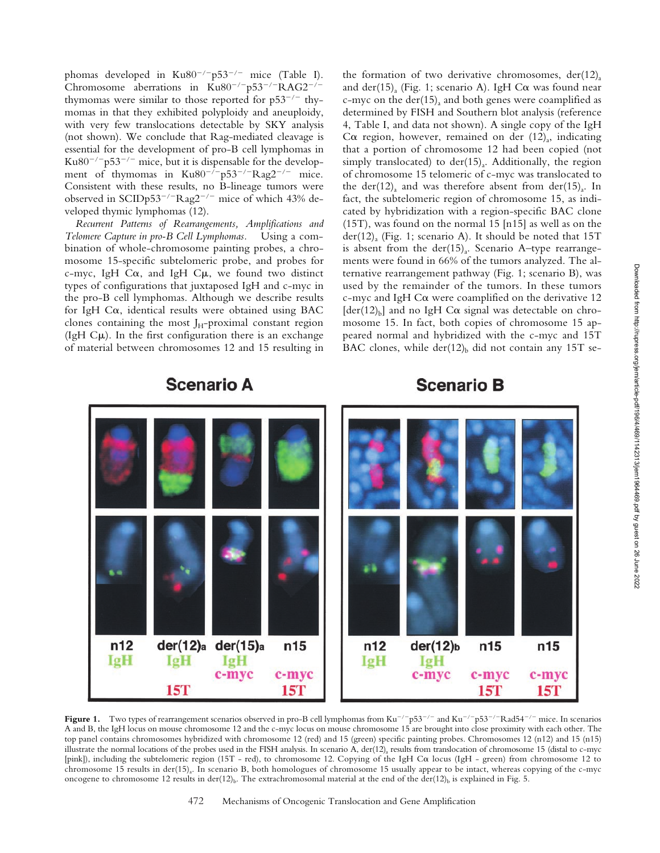phomas developed in Ku80<sup>-/-</sup>p53<sup>-/-</sup> mice (Table I). Chromosome aberrations in  $Ku80^{-/-}p53^{-/-}RAG2^{-/-}$ thymomas were similar to those reported for  $p53^{-/-}$  thymomas in that they exhibited polyploidy and aneuploidy, with very few translocations detectable by SKY analysis (not shown). We conclude that Rag-mediated cleavage is essential for the development of pro-B cell lymphomas in Ku $80^{-/-}$ p53<sup>-/-</sup> mice, but it is dispensable for the development of thymomas in  $Ku80^{-/-}p53^{-/-}Rag2^{-/-}$  mice. Consistent with these results, no B-lineage tumors were observed in SCIDp53<sup>-/-</sup>Rag2<sup>-/-</sup> mice of which 43% developed thymic lymphomas (12).

*Recurrent Patterns of Rearrangements, Amplifications and Telomere Capture in pro-B Cell Lymphomas.* Using a combination of whole-chromosome painting probes, a chromosome 15-specific subtelomeric probe, and probes for c-myc, IgH C $\alpha$ , and IgH C $\mu$ , we found two distinct types of configurations that juxtaposed IgH and c-myc in the pro-B cell lymphomas. Although we describe results for IgH  $Ca$ , identical results were obtained using BAC clones containing the most  $J_H$ -proximal constant region (IgH  $C\mu$ ). In the first configuration there is an exchange of material between chromosomes 12 and 15 resulting in

**Scenario A** 

the formation of two derivative chromosomes,  $der(12)$ <sub>a</sub> and der(15)<sub>a</sub> (Fig. 1; scenario A). IgH C $\alpha$  was found near c-myc on the der(15)<sub>a</sub> and both genes were coamplified as determined by FISH and Southern blot analysis (reference 4, Table I, and data not shown). A single copy of the IgH C $\alpha$  region, however, remained on der (12)<sub>a</sub>, indicating that a portion of chromosome 12 had been copied (not simply translocated) to  $der(15)$ . Additionally, the region of chromosome 15 telomeric of c-myc was translocated to the der(12)<sub>a</sub> and was therefore absent from der(15)<sub>a</sub>. In fact, the subtelomeric region of chromosome 15, as indicated by hybridization with a region-specific BAC clone (15T), was found on the normal 15 [n15] as well as on the  $der(12)<sub>a</sub>$  (Fig. 1; scenario A). It should be noted that 15T is absent from the der $(15)$ <sub>a</sub>. Scenario A–type rearrangements were found in 66% of the tumors analyzed. The alternative rearrangement pathway (Fig. 1; scenario B), was used by the remainder of the tumors. In these tumors c-myc and IgH  $Ca$  were coamplified on the derivative 12  $[der(12)<sub>b</sub>]$  and no IgH C $\alpha$  signal was detectable on chromosome 15. In fact, both copies of chromosome 15 appeared normal and hybridized with the c-myc and 15T BAC clones, while der( $12$ )<sub>b</sub> did not contain any 15T se-

# **Scenario B**



**Figure 1.** Two types of rearrangement scenarios observed in pro-B cell lymphomas from Ku<sup>-/-</sup>p53<sup>-/-</sup> and Ku<sup>-/-</sup>p53<sup>-/-</sup>Rad54<sup>-/-</sup> mice. In scenarios A and B, the IgH locus on mouse chromosome 12 and the c-myc locus on mouse chromosome 15 are brought into close proximity with each other. The top panel contains chromosomes hybridized with chromosome 12 (red) and 15 (green) specific painting probes. Chromosomes 12 (n12) and 15 (n15) illustrate the normal locations of the probes used in the FISH analysis. In scenario A, der( $12$ )<sub>a</sub> results from translocation of chromosome 15 (distal to c-myc [pink]), including the subtelomeric region (15T - red), to chromosome 12. Copying of the IgH C $\alpha$  locus (IgH - green) from chromosome 12 to chromosome 15 results in der(15)<sub>a</sub>. In scenario B, both homologues of chromosome 15 usually appear to be intact, whereas copying of the c-myc oncogene to chromosome 12 results in der(12)<sub>b</sub>. The extrachromosomal material at the end of the der(12)<sub>b</sub> is explained in Fig. 5.

#### 472 Mechanisms of Oncogenic Translocation and Gene Amplification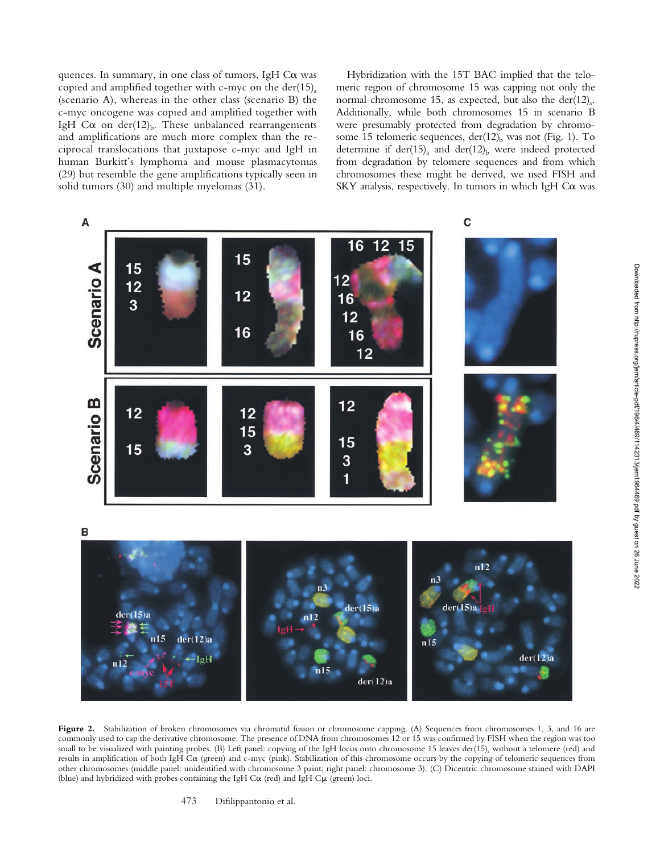quences. In summary, in one class of tumors, IgH  $Ca$  was copied and amplified together with c-myc on the der(15)<sub>a</sub> (scenario A), whereas in the other class (scenario B) the c-myc oncogene was copied and amplified together with IgH C $\alpha$  on der(12)<sub>b</sub>. These unbalanced rearrangements and amplifications are much more complex than the reciprocal translocations that juxtapose c-myc and IgH in human Burkitt's lymphoma and mouse plasmacytomas (29) but resemble the gene amplifications typically seen in solid tumors (30) and multiple myelomas (31).

Hybridization with the 15T BAC implied that the telomeric region of chromosome 15 was capping not only the normal chromosome 15, as expected, but also the der(12)<sub>a</sub>. Additionally, while both chromosomes 15 in scenario B were presumably protected from degradation by chromosome 15 telomeric sequences,  $der(12)_b$  was not (Fig. 1). To determine if der(15)<sub>a</sub> and der(12)<sub>b</sub> were indeed protected from degradation by telomere sequences and from which chromosomes these might be derived, we used FISH and SKY analysis, respectively. In tumors in which IgH  $Ca$  was



**Figure 2.** Stabilization of broken chromosomes via chromatid fusion or chromosome capping. (A) Sequences from chromosomes 1, 3, and 16 are commonly used to cap the derivative chromosome. The presence of DNA from chromosomes 12 or 15 was confirmed by FISH when the region was too small to be visualized with painting probes. (B) Left panel: copying of the IgH locus onto chromosome 15 leaves der(15)<sub>a</sub> without a telomere (red) and results in amplification of both IgH C $\alpha$  (green) and c-myc (pink). Stabilization of this chromosome occurs by the copying of telomeric sequences from other chromosomes (middle panel: unidentified with chromosome 3 paint; right panel: chromosome 3). (C) Dicentric chromosome stained with DAPI (blue) and hybridized with probes containing the IgH C $\alpha$  (red) and IgH C $\mu$  (green) loci.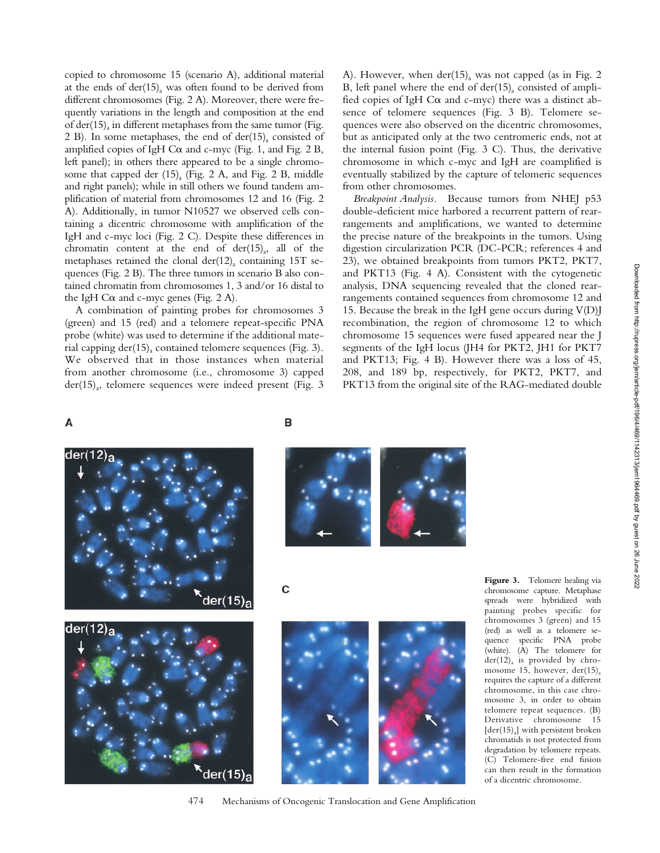copied to chromosome 15 (scenario A), additional material at the ends of  $der(15)$ <sub>a</sub> was often found to be derived from different chromosomes (Fig. 2 A). Moreover, there were frequently variations in the length and composition at the end of der(15)<sub>a</sub> in different metaphases from the same tumor (Fig. 2 B). In some metaphases, the end of der(15)<sub>a</sub> consisted of amplified copies of IgH C $\alpha$  and c-myc (Fig. 1, and Fig. 2 B, left panel); in others there appeared to be a single chromosome that capped der  $(15)$ <sub>a</sub> (Fig. 2 A, and Fig. 2 B, middle and right panels); while in still others we found tandem amplification of material from chromosomes 12 and 16 (Fig. 2 A). Additionally, in tumor N10527 we observed cells containing a dicentric chromosome with amplification of the IgH and c-myc loci (Fig. 2 C). Despite these differences in chromatin content at the end of  $der(15)_{a}$ , all of the metaphases retained the clonal der(12)<sub>a</sub> containing 15T sequences (Fig. 2 B). The three tumors in scenario B also contained chromatin from chromosomes 1, 3 and/or 16 distal to the IgH C $\alpha$  and c-myc genes (Fig. 2 A).

A combination of painting probes for chromosomes 3 (green) and 15 (red) and a telomere repeat-specific PNA probe (white) was used to determine if the additional material capping  $der(15)$ <sub>a</sub> contained telomere sequences (Fig. 3). We observed that in those instances when material from another chromosome (i.e., chromosome 3) capped  $der(15)<sub>a</sub>$ , telomere sequences were indeed present (Fig. 3) A). However, when  $der(15)_{a}$  was not capped (as in Fig. 2 B, left panel where the end of  $der(15)$ <sub>a</sub> consisted of amplified copies of IgH C $\alpha$  and c-myc) there was a distinct absence of telomere sequences (Fig. 3 B). Telomere sequences were also observed on the dicentric chromosomes, but as anticipated only at the two centromeric ends, not at the internal fusion point (Fig. 3 C). Thus, the derivative chromosome in which c-myc and IgH are coamplified is eventually stabilized by the capture of telomeric sequences from other chromosomes.

*Breakpoint Analysis.* Because tumors from NHEJ p53 double-deficient mice harbored a recurrent pattern of rearrangements and amplifications, we wanted to determine the precise nature of the breakpoints in the tumors. Using digestion circularization PCR (DC-PCR; references 4 and 23), we obtained breakpoints from tumors PKT2, PKT7, and PKT13 (Fig. 4 A). Consistent with the cytogenetic analysis, DNA sequencing revealed that the cloned rearrangements contained sequences from chromosome 12 and 15. Because the break in the IgH gene occurs during  $V(D)$ recombination, the region of chromosome 12 to which chromosome 15 sequences were fused appeared near the J segments of the IgH locus (JH4 for PKT2, JH1 for PKT7 and PKT13; Fig. 4 B). However there was a loss of 45, 208, and 189 bp, respectively, for PKT2, PKT7, and PKT13 from the original site of the RAG-mediated double

## A





B

C





**Figure 3.** Telomere healing via chromosome capture. Metaphase spreads were hybridized with painting probes specific for chromosomes 3 (green) and 15 (red) as well as a telomere sequence specific PNA probe (white). (A) The telomere for  $der(12)<sub>a</sub>$  is provided by chromosome 15, however,  $der(15)$ <sub>a</sub> requires the capture of a different chromosome, in this case chromosome 3, in order to obtain telomere repeat sequences. (B) Derivative chromosome 15  $[der(15)]$  with persistent broken chromatids is not protected from degradation by telomere repeats. (C) Telomere-free end fusion can then result in the formation of a dicentric chromosome.

#### 474 Mechanisms of Oncogenic Translocation and Gene Amplification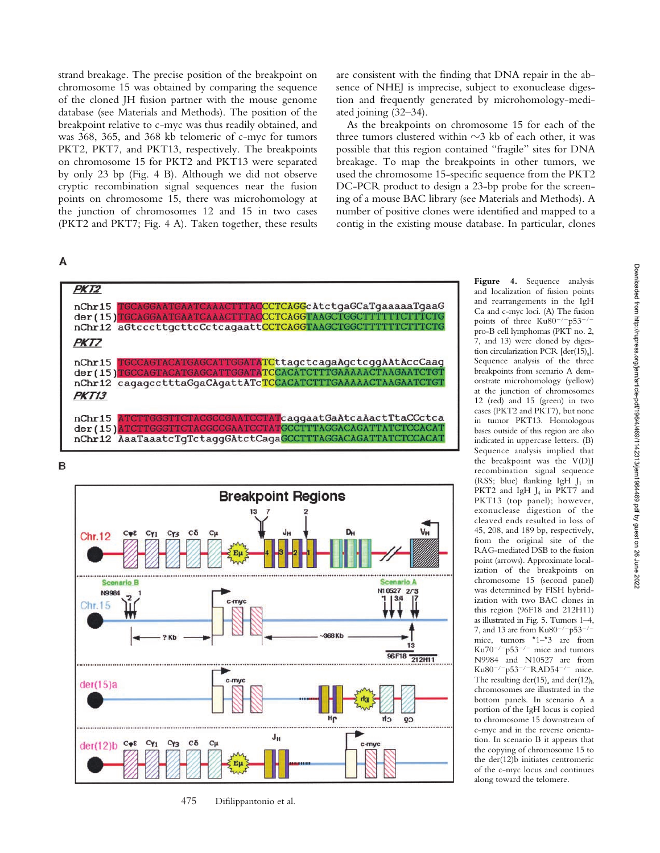strand breakage. The precise position of the breakpoint on chromosome 15 was obtained by comparing the sequence of the cloned JH fusion partner with the mouse genome database (see Materials and Methods). The position of the breakpoint relative to c-myc was thus readily obtained, and was 368, 365, and 368 kb telomeric of c-myc for tumors PKT2, PKT7, and PKT13, respectively. The breakpoints on chromosome 15 for PKT2 and PKT13 were separated by only 23 bp (Fig. 4 B). Although we did not observe cryptic recombination signal sequences near the fusion points on chromosome 15, there was microhomology at the junction of chromosomes 12 and 15 in two cases (PKT2 and PKT7; Fig. 4 A). Taken together, these results

# A

are consistent with the finding that DNA repair in the absence of NHEJ is imprecise, subject to exonuclease digestion and frequently generated by microhomology-mediated joining (32–34).

As the breakpoints on chromosome 15 for each of the three tumors clustered within  $\sim$ 3 kb of each other, it was possible that this region contained "fragile" sites for DNA breakage. To map the breakpoints in other tumors, we used the chromosome 15-specific sequence from the PKT2 DC-PCR product to design a 23-bp probe for the screening of a mouse BAC library (see Materials and Methods). A number of positive clones were identified and mapped to a contig in the existing mouse database. In particular, clones



<sup>475</sup> Difilippantonio et al.

**Figure 4.** Sequence analysis and localization of fusion points and rearrangements in the IgH Ca and c-myc loci. (A) The fusion points of three  $Ku80^{-/-}p53^{-/-}$ pro-B cell lymphomas (PKT no. 2, 7, and 13) were cloned by digestion circularization PCR  $[der(15)]$ . Sequence analysis of the three breakpoints from scenario A demonstrate microhomology (yellow) at the junction of chromosomes 12 (red) and 15 (green) in two cases (PKT2 and PKT7), but none in tumor PKT13. Homologous bases outside of this region are also indicated in uppercase letters. (B) Sequence analysis implied that the breakpoint was the V(D)J recombination signal sequence (RSS; blue) flanking IgH  $J_1$  in PKT2 and IgH J<sub>4</sub> in PKT7 and PKT13 (top panel); however, exonuclease digestion of the cleaved ends resulted in loss of 45, 208, and 189 bp, respectively, from the original site of the RAG-mediated DSB to the fusion point (arrows). Approximate localization of the breakpoints on chromosome 15 (second panel) was determined by FISH hybridization with two BAC clones in this region (96F18 and 212H11) as illustrated in Fig. 5. Tumors 1–4, 7, and 13 are from  $Ku80^{-/-}p53^{-/-}$ mice, tumors \*1–\*3 are from  $\text{Ku70}^{-/-} \text{p53}^{-/-}$  mice and tumors N9984 and N10527 are from Ku80<sup>-/-</sup>p53<sup>-/-</sup>RAD54<sup>-/-</sup> mice. The resulting der(15)<sub>a</sub> and der(12)<sub>b</sub> chromosomes are illustrated in the bottom panels. In scenario A a portion of the IgH locus is copied to chromosome 15 downstream of c-myc and in the reverse orientation. In scenario B it appears that the copying of chromosome 15 to the der(12)b initiates centromeric of the c-myc locus and continues along toward the telomere.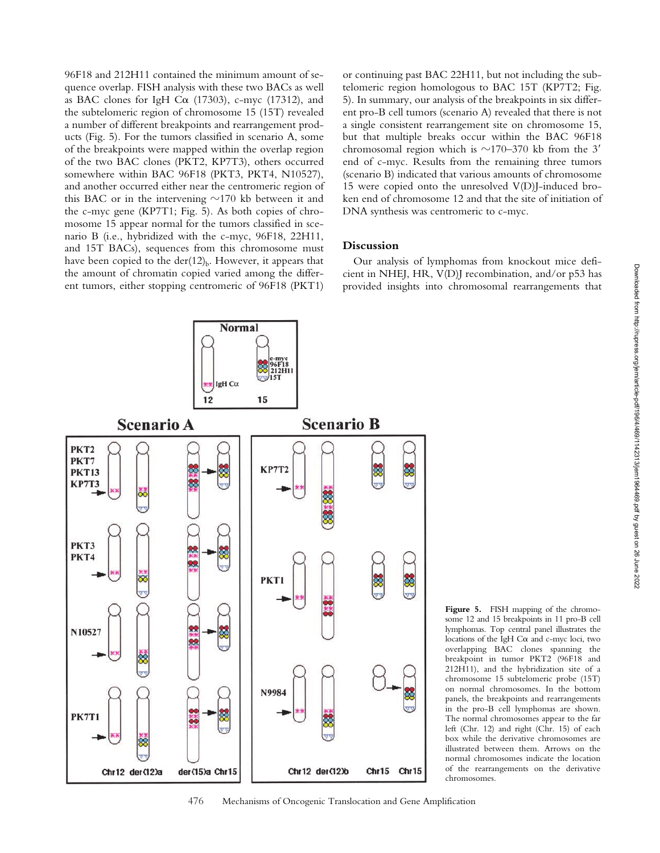96F18 and 212H11 contained the minimum amount of sequence overlap. FISH analysis with these two BACs as well as BAC clones for IgH C $\alpha$  (17303), c-myc (17312), and the subtelomeric region of chromosome 15 (15T) revealed a number of different breakpoints and rearrangement products (Fig. 5). For the tumors classified in scenario A, some of the breakpoints were mapped within the overlap region of the two BAC clones (PKT2, KP7T3), others occurred somewhere within BAC 96F18 (PKT3, PKT4, N10527), and another occurred either near the centromeric region of this BAC or in the intervening  $\sim$ 170 kb between it and the c-myc gene (KP7T1; Fig. 5). As both copies of chromosome 15 appear normal for the tumors classified in scenario B (i.e., hybridized with the c-myc, 96F18, 22H11, and 15T BACs), sequences from this chromosome must have been copied to the der $(12)$ <sub>b</sub>. However, it appears that the amount of chromatin copied varied among the different tumors, either stopping centromeric of 96F18 (PKT1)

or continuing past BAC 22H11, but not including the subtelomeric region homologous to BAC 15T (KP7T2; Fig. 5). In summary, our analysis of the breakpoints in six different pro-B cell tumors (scenario A) revealed that there is not a single consistent rearrangement site on chromosome 15, but that multiple breaks occur within the BAC 96F18 chromosomal region which is  $\sim$ 170–370 kb from the 3' end of c-myc. Results from the remaining three tumors (scenario B) indicated that various amounts of chromosome 15 were copied onto the unresolved V(D)J-induced broken end of chromosome 12 and that the site of initiation of DNA synthesis was centromeric to c-myc.

### **Discussion**

Our analysis of lymphomas from knockout mice deficient in NHEJ, HR, V(D)J recombination, and/or p53 has provided insights into chromosomal rearrangements that



476 Mechanisms of Oncogenic Translocation and Gene Amplification

**Figure 5.** FISH mapping of the chromosome 12 and 15 breakpoints in 11 pro-B cell lymphomas. Top central panel illustrates the locations of the IgH  $C\alpha$  and c-myc loci, two overlapping BAC clones spanning the breakpoint in tumor PKT2 (96F18 and 212H11), and the hybridization site of a chromosome 15 subtelomeric probe (15T) on normal chromosomes. In the bottom panels, the breakpoints and rearrangements in the pro-B cell lymphomas are shown. The normal chromosomes appear to the far left (Chr. 12) and right (Chr. 15) of each box while the derivative chromosomes are illustrated between them. Arrows on the normal chromosomes indicate the location of the rearrangements on the derivative chromosomes.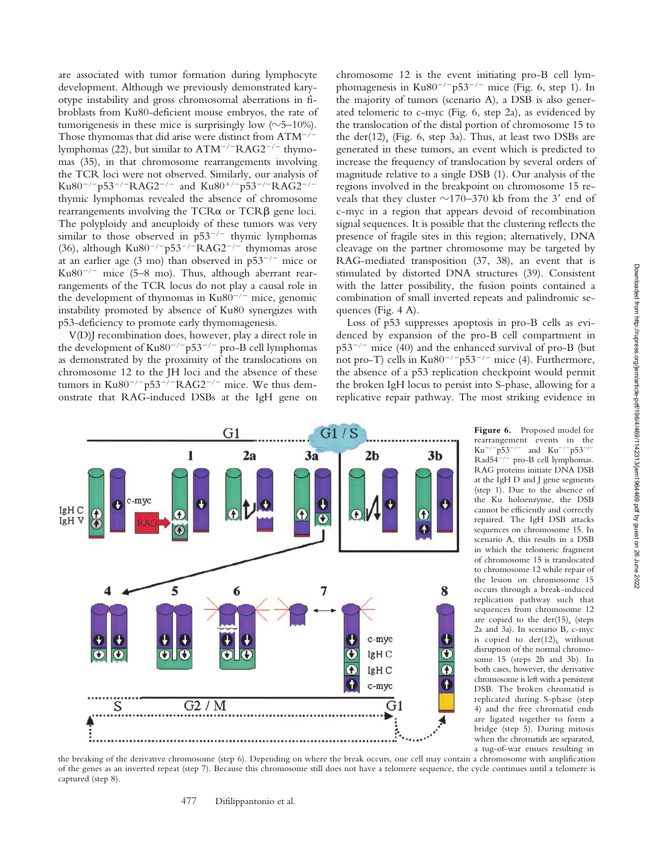are associated with tumor formation during lymphocyte development. Although we previously demonstrated karyotype instability and gross chromosomal aberrations in fibroblasts from Ku80-deficient mouse embryos, the rate of tumorigenesis in these mice is surprisingly low  $(\sim]5-10\%)$ . Those thymomas that did arise were distinct from  $ATM^{-/-}$ lymphomas (22), but similar to ATM<sup>-/-</sup>RAG2<sup>-/-</sup> thymomas (35), in that chromosome rearrangements involving the TCR loci were not observed. Similarly, our analysis of Ku80<sup>-/-</sup>p53<sup>-/-</sup>RAG2<sup>-/-</sup> and Ku80<sup>+/-</sup>p53<sup>-/-</sup>RAG2<sup>-/-</sup> thymic lymphomas revealed the absence of chromosome rearrangements involving the  $TCR\alpha$  or  $TCR\beta$  gene loci. The polyploidy and aneuploidy of these tumors was very similar to those observed in  $p53^{-/-}$  thymic lymphomas (36), although  $Ku80^{-/-}p53^{-/-}RAG2^{-/-}$  thymomas arose at an earlier age  $(3 \text{ mol})$  than observed in  $p53^{-/-}$  mice or Ku $80^{-/-}$  mice (5–8 mo). Thus, although aberrant rearrangements of the TCR locus do not play a causal role in the development of thymomas in Ku80<sup>-/-</sup> mice, genomic instability promoted by absence of Ku80 synergizes with p53-deficiency to promote early thymomagenesis.

V(D)J recombination does, however, play a direct role in the development of  $Ku80^{-/-}p53^{-/-}$  pro-B cell lymphomas as demonstrated by the proximity of the translocations on chromosome 12 to the JH loci and the absence of these tumors in  $Ku80^{-/-}p53^{-/-}RAG2^{-/-}$  mice. We thus demonstrate that RAG-induced DSBs at the IgH gene on chromosome 12 is the event initiating pro-B cell lymphomagenesis in  $Ku80^{-/-}p53^{-/-}$  mice (Fig. 6, step 1). In the majority of tumors (scenario A), a DSB is also generated telomeric to c-myc (Fig. 6, step 2a), as evidenced by the translocation of the distal portion of chromosome 15 to the der(12)<sub>a</sub> (Fig. 6, step 3a). Thus, at least two DSBs are generated in these tumors, an event which is predicted to increase the frequency of translocation by several orders of magnitude relative to a single DSB (1). Our analysis of the regions involved in the breakpoint on chromosome 15 reveals that they cluster  $\sim$ 170–370 kb from the 3' end of c-myc in a region that appears devoid of recombination signal sequences. It is possible that the clustering reflects the presence of fragile sites in this region; alternatively, DNA cleavage on the partner chromosome may be targeted by RAG-mediated transposition (37, 38), an event that is stimulated by distorted DNA structures (39). Consistent with the latter possibility, the fusion points contained a combination of small inverted repeats and palindromic sequences (Fig. 4 A).

Loss of p53 suppresses apoptosis in pro-B cells as evidenced by expansion of the pro-B cell compartment in p53-/- mice (40) and the enhanced survival of pro-B (but not pro-T) cells in  $Ku80^{-/-}p53^{-/-}$  mice (4). Furthermore, the absence of a p53 replication checkpoint would permit the broken IgH locus to persist into S-phase, allowing for a replicative repair pathway. The most striking evidence in



**Figure 6.** Proposed model for rearrangement events in the  $Ku^{-/-}p53^{-/-}$  and  $Ku^{-/-}p53^{-/-}$ Rad54-/- pro-B cell lymphomas*.* RAG proteins initiate DNA DSB at the IgH D and J gene segments (step 1). Due to the absence of the Ku holoenzyme, the DSB cannot be efficiently and correctly repaired. The IgH DSB attacks sequences on chromosome 15. In scenario A, this results in a DSB in which the telomeric fragment of chromosome 15 is translocated to chromosome 12 while repair of the lesion on chromosome 15 occurs through a break-induced replication pathway such that sequences from chromosome 12 are copied to the der(15)<sub>a</sub> (steps 2a and 3a). In scenario B, c-myc is copied to  $der(12)_b$  without disruption of the normal chromosome 15 (steps 2b and 3b). In both cases, however, the derivative chromosome is left with a persistent DSB. The broken chromatid is replicated during S-phase (step 4) and the free chromatid ends are ligated together to form a bridge (step 5). During mitosis when the chromatids are separated, a tug-of-war ensues resulting in

the breaking of the derivative chromosome (step 6). Depending on where the break occurs, one cell may contain a chromosome with amplification of the genes as an inverted repeat (step 7). Because this chromosome still does not have a telomere sequence, the cycle continues until a telomere is captured (step 8).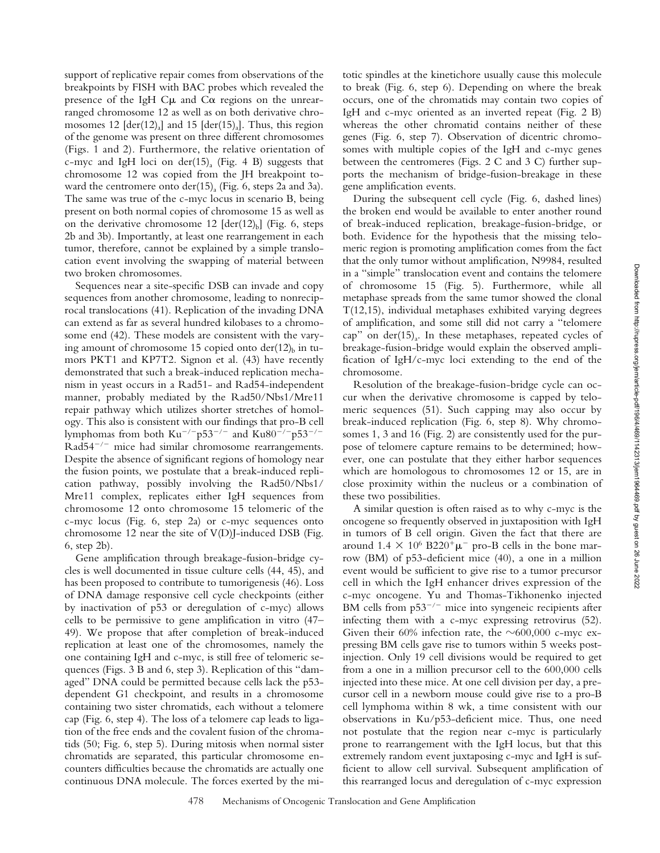support of replicative repair comes from observations of the breakpoints by FISH with BAC probes which revealed the presence of the IgH  $C\mu$  and  $C\alpha$  regions on the unrearranged chromosome 12 as well as on both derivative chromosomes 12  $[der(12)]$  and 15  $[der(15)]$ . Thus, this region of the genome was present on three different chromosomes (Figs. 1 and 2). Furthermore, the relative orientation of c-myc and IgH loci on der(15). (Fig. 4 B) suggests that chromosome 12 was copied from the JH breakpoint toward the centromere onto der(15)<sub>a</sub> (Fig. 6, steps 2a and 3a). The same was true of the c-myc locus in scenario B, being present on both normal copies of chromosome 15 as well as on the derivative chromosome 12  $[der(12)_b]$  (Fig. 6, steps 2b and 3b). Importantly, at least one rearrangement in each tumor, therefore, cannot be explained by a simple translocation event involving the swapping of material between two broken chromosomes.

Sequences near a site-specific DSB can invade and copy sequences from another chromosome, leading to nonreciprocal translocations (41). Replication of the invading DNA can extend as far as several hundred kilobases to a chromosome end (42). These models are consistent with the varying amount of chromosome 15 copied onto  $der(12)_b$  in tumors PKT1 and KP7T2. Signon et al. (43) have recently demonstrated that such a break-induced replication mechanism in yeast occurs in a Rad51- and Rad54-independent manner, probably mediated by the Rad50/Nbs1/Mre11 repair pathway which utilizes shorter stretches of homology. This also is consistent with our findings that pro-B cell lymphomas from both  $\rm{Ku}^{-/-}p53^{-/-}$  and  $\rm{Ku}80^{-/-}p53^{-/-}$ Rad54<sup>-/-</sup> mice had similar chromosome rearrangements. Despite the absence of significant regions of homology near the fusion points, we postulate that a break-induced replication pathway, possibly involving the Rad50/Nbs1/ Mre11 complex, replicates either IgH sequences from chromosome 12 onto chromosome 15 telomeric of the c-myc locus (Fig. 6, step 2a) or c-myc sequences onto chromosome 12 near the site of V(D)J-induced DSB (Fig. 6, step 2b).

Gene amplification through breakage-fusion-bridge cycles is well documented in tissue culture cells (44, 45), and has been proposed to contribute to tumorigenesis (46). Loss of DNA damage responsive cell cycle checkpoints (either by inactivation of p53 or deregulation of c-myc) allows cells to be permissive to gene amplification in vitro (47– 49). We propose that after completion of break-induced replication at least one of the chromosomes, namely the one containing IgH and c-myc, is still free of telomeric sequences (Figs. 3 B and 6, step 3). Replication of this "damaged" DNA could be permitted because cells lack the p53 dependent G1 checkpoint, and results in a chromosome containing two sister chromatids, each without a telomere cap (Fig. 6, step 4). The loss of a telomere cap leads to ligation of the free ends and the covalent fusion of the chromatids (50; Fig. 6, step 5). During mitosis when normal sister chromatids are separated, this particular chromosome encounters difficulties because the chromatids are actually one continuous DNA molecule. The forces exerted by the mitotic spindles at the kinetichore usually cause this molecule to break (Fig. 6, step 6). Depending on where the break occurs, one of the chromatids may contain two copies of IgH and c-myc oriented as an inverted repeat (Fig. 2 B) whereas the other chromatid contains neither of these genes (Fig. 6, step 7). Observation of dicentric chromosomes with multiple copies of the IgH and c-myc genes between the centromeres (Figs. 2 C and 3 C) further supports the mechanism of bridge-fusion-breakage in these gene amplification events.

During the subsequent cell cycle (Fig. 6, dashed lines) the broken end would be available to enter another round of break-induced replication, breakage-fusion-bridge, or both. Evidence for the hypothesis that the missing telomeric region is promoting amplification comes from the fact that the only tumor without amplification, N9984, resulted in a "simple" translocation event and contains the telomere of chromosome 15 (Fig. 5). Furthermore, while all metaphase spreads from the same tumor showed the clonal T(12,15), individual metaphases exhibited varying degrees of amplification, and some still did not carry a "telomere cap" on der(15)<sub>a</sub>. In these metaphases, repeated cycles of breakage-fusion-bridge would explain the observed amplification of IgH/c-myc loci extending to the end of the chromosome.

Resolution of the breakage-fusion-bridge cycle can occur when the derivative chromosome is capped by telomeric sequences (51). Such capping may also occur by break-induced replication (Fig. 6, step 8). Why chromosomes 1, 3 and 16 (Fig. 2) are consistently used for the purpose of telomere capture remains to be determined; however, one can postulate that they either harbor sequences which are homologous to chromosomes 12 or 15, are in close proximity within the nucleus or a combination of these two possibilities.

A similar question is often raised as to why c-myc is the oncogene so frequently observed in juxtaposition with IgH in tumors of B cell origin. Given the fact that there are around  $1.4 \times 10^6$  B220<sup>+</sup> $\mu^-$  pro-B cells in the bone marrow (BM) of p53-deficient mice (40), a one in a million event would be sufficient to give rise to a tumor precursor cell in which the IgH enhancer drives expression of the c-myc oncogene. Yu and Thomas-Tikhonenko injected BM cells from p53<sup>-/-</sup> mice into syngeneic recipients after infecting them with a c-myc expressing retrovirus (52). Given their 60% infection rate, the  $\sim$ 600,000 c-myc expressing BM cells gave rise to tumors within 5 weeks postinjection. Only 19 cell divisions would be required to get from a one in a million precursor cell to the 600,000 cells injected into these mice. At one cell division per day, a precursor cell in a newborn mouse could give rise to a pro-B cell lymphoma within 8 wk, a time consistent with our observations in Ku/p53-deficient mice. Thus, one need not postulate that the region near c-myc is particularly prone to rearrangement with the IgH locus, but that this extremely random event juxtaposing c-myc and IgH is sufficient to allow cell survival. Subsequent amplification of this rearranged locus and deregulation of c-myc expression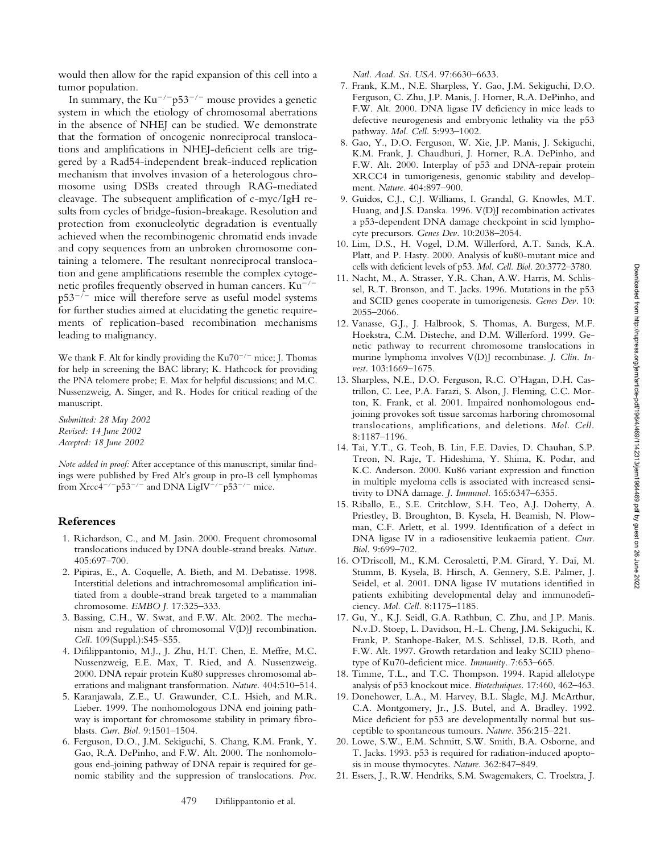would then allow for the rapid expansion of this cell into a tumor population.

In summary, the  $\text{Ku}^{-/-} \text{p53}^{-/-}$  mouse provides a genetic system in which the etiology of chromosomal aberrations in the absence of NHEJ can be studied. We demonstrate that the formation of oncogenic nonreciprocal translocations and amplifications in NHEJ-deficient cells are triggered by a Rad54-independent break-induced replication mechanism that involves invasion of a heterologous chromosome using DSBs created through RAG-mediated cleavage. The subsequent amplification of c-myc/IgH results from cycles of bridge-fusion-breakage. Resolution and protection from exonucleolytic degradation is eventually achieved when the recombinogenic chromatid ends invade and copy sequences from an unbroken chromosome containing a telomere. The resultant nonreciprocal translocation and gene amplifications resemble the complex cytogenetic profiles frequently observed in human cancers.  ${\rm Ku}^{-/-}$ p53-/- mice will therefore serve as useful model systems for further studies aimed at elucidating the genetic requirements of replication-based recombination mechanisms leading to malignancy.

We thank F. Alt for kindly providing the  $Ku70^{-/-}$  mice; J. Thomas for help in screening the BAC library; K. Hathcock for providing the PNA telomere probe; E. Max for helpful discussions; and M.C. Nussenzweig, A. Singer, and R. Hodes for critical reading of the manuscript.

*Submitted: 28 May 2002 Revised: 14 June 2002 Accepted: 18 June 2002*

*Note added in proof:* After acceptance of this manuscript, similar findings were published by Fred Alt's group in pro-B cell lymphomas from Xrcc4<sup>-/-</sup>p53<sup>-/-</sup> and DNA LigIV<sup>-/-</sup>p53<sup>-/-</sup> mice.

### **References**

- 1. Richardson, C., and M. Jasin. 2000. Frequent chromosomal translocations induced by DNA double-strand breaks. *Nature.* 405:697–700.
- 2. Pipiras, E., A. Coquelle, A. Bieth, and M. Debatisse. 1998. Interstitial deletions and intrachromosomal amplification initiated from a double-strand break targeted to a mammalian chromosome. *EMBO J.* 17:325–333.
- 3. Bassing, C.H., W. Swat, and F.W. Alt. 2002. The mechanism and regulation of chromosomal V(D)J recombination. *Cell.* 109(Suppl.):S45–S55.
- 4. Difilippantonio, M.J., J. Zhu, H.T. Chen, E. Meffre, M.C. Nussenzweig, E.E. Max, T. Ried, and A. Nussenzweig. 2000. DNA repair protein Ku80 suppresses chromosomal aberrations and malignant transformation. *Nature.* 404:510–514.
- 5. Karanjawala, Z.E., U. Grawunder, C.L. Hsieh, and M.R. Lieber. 1999. The nonhomologous DNA end joining pathway is important for chromosome stability in primary fibroblasts. *Curr. Biol.* 9:1501–1504.
- 6. Ferguson, D.O., J.M. Sekiguchi, S. Chang, K.M. Frank, Y. Gao, R.A. DePinho, and F.W. Alt. 2000. The nonhomologous end-joining pathway of DNA repair is required for genomic stability and the suppression of translocations. *Proc.*

*Natl. Acad. Sci. USA.* 97:6630–6633.

- 7. Frank, K.M., N.E. Sharpless, Y. Gao, J.M. Sekiguchi, D.O. Ferguson, C. Zhu, J.P. Manis, J. Horner, R.A. DePinho, and F.W. Alt. 2000. DNA ligase IV deficiency in mice leads to defective neurogenesis and embryonic lethality via the p53 pathway. *Mol. Cell.* 5:993–1002.
- 8. Gao, Y., D.O. Ferguson, W. Xie, J.P. Manis, J. Sekiguchi, K.M. Frank, J. Chaudhuri, J. Horner, R.A. DePinho, and F.W. Alt. 2000. Interplay of p53 and DNA-repair protein XRCC4 in tumorigenesis, genomic stability and development. *Nature.* 404:897–900.
- 9. Guidos, C.J., C.J. Williams, I. Grandal, G. Knowles, M.T. Huang, and J.S. Danska. 1996. V(D)J recombination activates a p53-dependent DNA damage checkpoint in scid lymphocyte precursors. *Genes Dev.* 10:2038–2054.
- 10. Lim, D.S., H. Vogel, D.M. Willerford, A.T. Sands, K.A. Platt, and P. Hasty. 2000. Analysis of ku80-mutant mice and cells with deficient levels of p53. *Mol. Cell. Biol.* 20:3772–3780.
- 11. Nacht, M., A. Strasser, Y.R. Chan, A.W. Harris, M. Schlissel, R.T. Bronson, and T. Jacks. 1996. Mutations in the p53 and SCID genes cooperate in tumorigenesis. *Genes Dev.* 10: 2055–2066.
- 12. Vanasse, G.J., J. Halbrook, S. Thomas, A. Burgess, M.F. Hoekstra, C.M. Disteche, and D.M. Willerford. 1999. Genetic pathway to recurrent chromosome translocations in murine lymphoma involves V(D)J recombinase. *J. Clin. Invest.* 103:1669–1675.
- 13. Sharpless, N.E., D.O. Ferguson, R.C. O'Hagan, D.H. Castrillon, C. Lee, P.A. Farazi, S. Alson, J. Fleming, C.C. Morton, K. Frank, et al. 2001. Impaired nonhomologous endjoining provokes soft tissue sarcomas harboring chromosomal translocations, amplifications, and deletions. *Mol. Cell.* 8:1187–1196.
- 14. Tai, Y.T., G. Teoh, B. Lin, F.E. Davies, D. Chauhan, S.P. Treon, N. Raje, T. Hideshima, Y. Shima, K. Podar, and K.C. Anderson. 2000. Ku86 variant expression and function in multiple myeloma cells is associated with increased sensitivity to DNA damage. *J. Immunol.* 165:6347–6355.
- 15. Riballo, E., S.E. Critchlow, S.H. Teo, A.J. Doherty, A. Priestley, B. Broughton, B. Kysela, H. Beamish, N. Plowman, C.F. Arlett, et al. 1999. Identification of a defect in DNA ligase IV in a radiosensitive leukaemia patient. *Curr. Biol.* 9:699–702.
- 16. O'Driscoll, M., K.M. Cerosaletti, P.M. Girard, Y. Dai, M. Stumm, B. Kysela, B. Hirsch, A. Gennery, S.E. Palmer, J. Seidel, et al. 2001. DNA ligase IV mutations identified in patients exhibiting developmental delay and immunodeficiency. *Mol. Cell.* 8:1175–1185.
- 17. Gu, Y., K.J. Seidl, G.A. Rathbun, C. Zhu, and J.P. Manis. N.v.D. Stoep, L. Davidson, H.-L. Cheng, J.M. Sekiguchi, K. Frank, P. Stanhope-Baker, M.S. Schlissel, D.B. Roth, and F.W. Alt. 1997. Growth retardation and leaky SCID phenotype of Ku70-deficient mice. *Immunity*. 7:653–665.
- 18. Timme, T.L., and T.C. Thompson. 1994. Rapid allelotype analysis of p53 knockout mice. *Biotechniques.* 17:460, 462–463.
- 19. Donehower, L.A., M. Harvey, B.L. Slagle, M.J. McArthur, C.A. Montgomery, Jr., J.S. Butel, and A. Bradley. 1992. Mice deficient for p53 are developmentally normal but susceptible to spontaneous tumours. *Nature.* 356:215–221.
- 20. Lowe, S.W., E.M. Schmitt, S.W. Smith, B.A. Osborne, and T. Jacks. 1993. p53 is required for radiation-induced apoptosis in mouse thymocytes. *Nature.* 362:847–849.
- 21. Essers, J., R.W. Hendriks, S.M. Swagemakers, C. Troelstra, J.